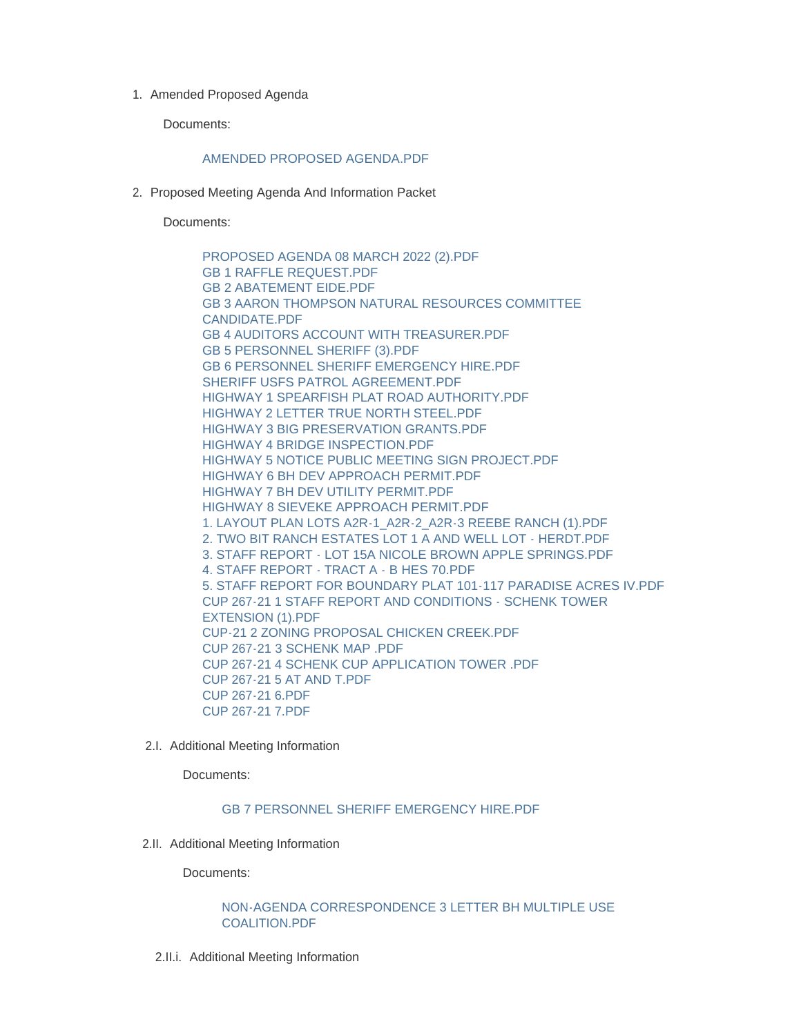1. Amended Proposed Agenda

Documents:

## [AMENDED PROPOSED AGENDA.PDF](https://www.lawrence.sd.us/AgendaCenter/ViewFile/Item/584?fileID=7811)

2. Proposed Meeting Agenda And Information Packet

Documents:

[PROPOSED AGENDA 08 MARCH 2022 \(2\).PDF](https://www.lawrence.sd.us/AgendaCenter/ViewFile/Item/581?fileID=7808) [GB 1 RAFFLE REQUEST.PDF](https://www.lawrence.sd.us/AgendaCenter/ViewFile/Item/581?fileID=7780) [GB 2 ABATEMENT EIDE.PDF](https://www.lawrence.sd.us/AgendaCenter/ViewFile/Item/581?fileID=7781) [GB 3 AARON THOMPSON NATURAL RESOURCES COMMITTEE](https://www.lawrence.sd.us/AgendaCenter/ViewFile/Item/581?fileID=7782)  CANDIDATE.PDF [GB 4 AUDITORS ACCOUNT WITH TREASURER.PDF](https://www.lawrence.sd.us/AgendaCenter/ViewFile/Item/581?fileID=7783) [GB 5 PERSONNEL SHERIFF \(3\).PDF](https://www.lawrence.sd.us/AgendaCenter/ViewFile/Item/581?fileID=7784) [GB 6 PERSONNEL SHERIFF EMERGENCY HIRE.PDF](https://www.lawrence.sd.us/AgendaCenter/ViewFile/Item/581?fileID=7807) [SHERIFF USFS PATROL AGREEMENT.PDF](https://www.lawrence.sd.us/AgendaCenter/ViewFile/Item/581?fileID=7785) [HIGHWAY 1 SPEARFISH PLAT ROAD AUTHORITY.PDF](https://www.lawrence.sd.us/AgendaCenter/ViewFile/Item/581?fileID=7786) [HIGHWAY 2 LETTER TRUE NORTH STEEL.PDF](https://www.lawrence.sd.us/AgendaCenter/ViewFile/Item/581?fileID=7787) [HIGHWAY 3 BIG PRESERVATION GRANTS.PDF](https://www.lawrence.sd.us/AgendaCenter/ViewFile/Item/581?fileID=7788) [HIGHWAY 4 BRIDGE INSPECTION.PDF](https://www.lawrence.sd.us/AgendaCenter/ViewFile/Item/581?fileID=7789) [HIGHWAY 5 NOTICE PUBLIC MEETING SIGN PROJECT.PDF](https://www.lawrence.sd.us/AgendaCenter/ViewFile/Item/581?fileID=7790) [HIGHWAY 6 BH DEV APPROACH PERMIT.PDF](https://www.lawrence.sd.us/AgendaCenter/ViewFile/Item/581?fileID=7791) [HIGHWAY 7 BH DEV UTILITY PERMIT.PDF](https://www.lawrence.sd.us/AgendaCenter/ViewFile/Item/581?fileID=7792) [HIGHWAY 8 SIEVEKE APPROACH PERMIT.PDF](https://www.lawrence.sd.us/AgendaCenter/ViewFile/Item/581?fileID=7793) [1. LAYOUT PLAN LOTS A2R-1\\_A2R-2\\_A2R-3 REEBE RANCH \(1\).PDF](https://www.lawrence.sd.us/AgendaCenter/ViewFile/Item/581?fileID=7795) [2. TWO BIT RANCH ESTATES LOT 1 A AND WELL LOT - HERDT.PDF](https://www.lawrence.sd.us/AgendaCenter/ViewFile/Item/581?fileID=7796) [3. STAFF REPORT - LOT 15A NICOLE BROWN APPLE SPRINGS.PDF](https://www.lawrence.sd.us/AgendaCenter/ViewFile/Item/581?fileID=7797) [4. STAFF REPORT - TRACT A - B HES 70.PDF](https://www.lawrence.sd.us/AgendaCenter/ViewFile/Item/581?fileID=7798) [5. STAFF REPORT FOR BOUNDARY PLAT 101-117 PARADISE ACRES IV.PDF](https://www.lawrence.sd.us/AgendaCenter/ViewFile/Item/581?fileID=7799) [CUP 267-21 1 STAFF REPORT AND CONDITIONS - SCHENK TOWER](https://www.lawrence.sd.us/AgendaCenter/ViewFile/Item/581?fileID=7800)  EXTENSION (1).PDF [CUP-21 2 ZONING PROPOSAL CHICKEN CREEK.PDF](https://www.lawrence.sd.us/AgendaCenter/ViewFile/Item/581?fileID=7801) [CUP 267-21 3 SCHENK MAP .PDF](https://www.lawrence.sd.us/AgendaCenter/ViewFile/Item/581?fileID=7802) [CUP 267-21 4 SCHENK CUP APPLICATION TOWER .PDF](https://www.lawrence.sd.us/AgendaCenter/ViewFile/Item/581?fileID=7803) [CUP 267-21 5 AT AND T.PDF](https://www.lawrence.sd.us/AgendaCenter/ViewFile/Item/581?fileID=7804) [CUP 267-21 6.PDF](https://www.lawrence.sd.us/AgendaCenter/ViewFile/Item/581?fileID=7805) [CUP 267-21 7.PDF](https://www.lawrence.sd.us/AgendaCenter/ViewFile/Item/581?fileID=7806)

2.I. Additional Meeting Information

Documents:

## [GB 7 PERSONNEL SHERIFF EMERGENCY HIRE.PDF](https://www.lawrence.sd.us/AgendaCenter/ViewFile/Item/586?fileID=7813)

2.II. Additional Meeting Information

Documents:

## [NON-AGENDA CORRESPONDENCE 3 LETTER BH MULTIPLE USE](https://www.lawrence.sd.us/AgendaCenter/ViewFile/Item/582?fileID=7809)  COALITION.PDF

2.II.i. Additional Meeting Information